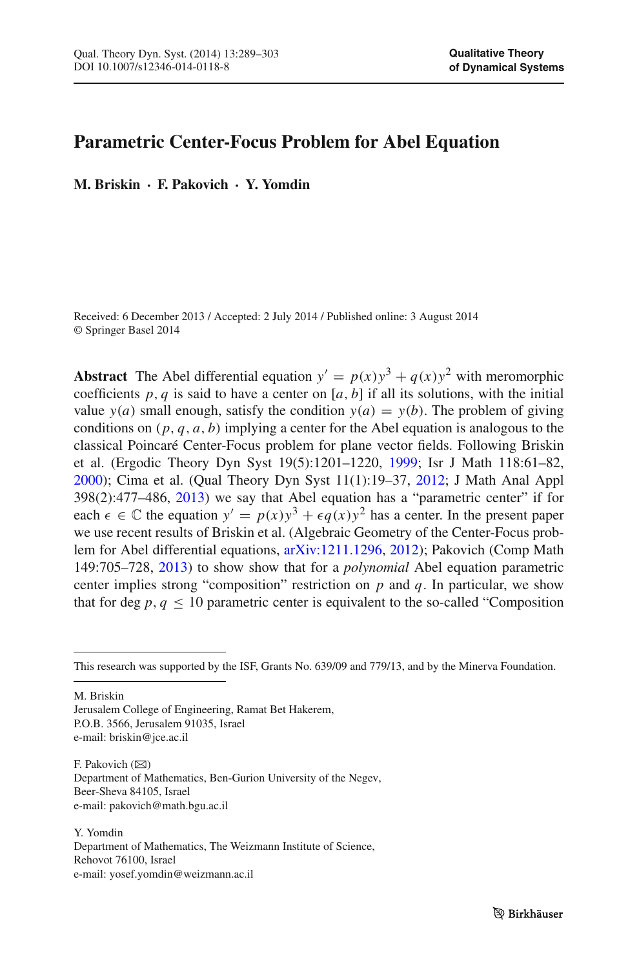# **Parametric Center-Focus Problem for Abel Equation**

**M. Briskin · F. Pakovich · Y. Yomdin**

Received: 6 December 2013 / Accepted: 2 July 2014 / Published online: 3 August 2014 © Springer Basel 2014

**Abstract** The Abel differential equation  $y' = p(x)y^3 + q(x)y^2$  with meromorphic coefficients  $p, q$  is said to have a center on  $[a, b]$  if all its solutions, with the initial value  $y(a)$  small enough, satisfy the condition  $y(a) = y(b)$ . The problem of giving conditions on (*p*, *q*, *a*, *b*) implying a center for the Abel equation is analogous to the classical Poincaré Center-Focus problem for plane vector fields. Following Briskin et al. (Ergodic Theory Dyn Syst 19(5):1201–1220, [1999;](#page-14-0) Isr J Math 118:61–82, [2000\)](#page-14-1); Cima et al. (Qual Theory Dyn Syst 11(1):19–37, [2012;](#page-14-2) J Math Anal Appl 398(2):477–486, [2013\)](#page-14-3) we say that Abel equation has a "parametric center" if for each  $\epsilon \in \mathbb{C}$  the equation  $y' = p(x)y^3 + \epsilon q(x)y^2$  has a center. In the present paper we use recent results of Briskin et al. (Algebraic Geometry of the Center-Focus problem for Abel differential equations, [arXiv:1211.1296,](http://arxiv.org/abs/1211.1296) [2012\)](#page-14-4); Pakovich (Comp Math 149:705–728, [2013\)](#page-14-5) to show show that for a *polynomial* Abel equation parametric center implies strong "composition" restriction on *p* and *q*. In particular, we show that for deg  $p, q \le 10$  parametric center is equivalent to the so-called "Composition"

M. Briskin

Jerusalem College of Engineering, Ramat Bet Hakerem, P.O.B. 3566, Jerusalem 91035, Israel e-mail: briskin@jce.ac.il

F. Pakovich  $(\boxtimes)$ Department of Mathematics, Ben-Gurion University of the Negev, Beer-Sheva 84105, Israel e-mail: pakovich@math.bgu.ac.il

Y. Yomdin Department of Mathematics, The Weizmann Institute of Science, Rehovot 76100, Israel e-mail: yosef.yomdin@weizmann.ac.il

This research was supported by the ISF, Grants No. 639/09 and 779/13, and by the Minerva Foundation.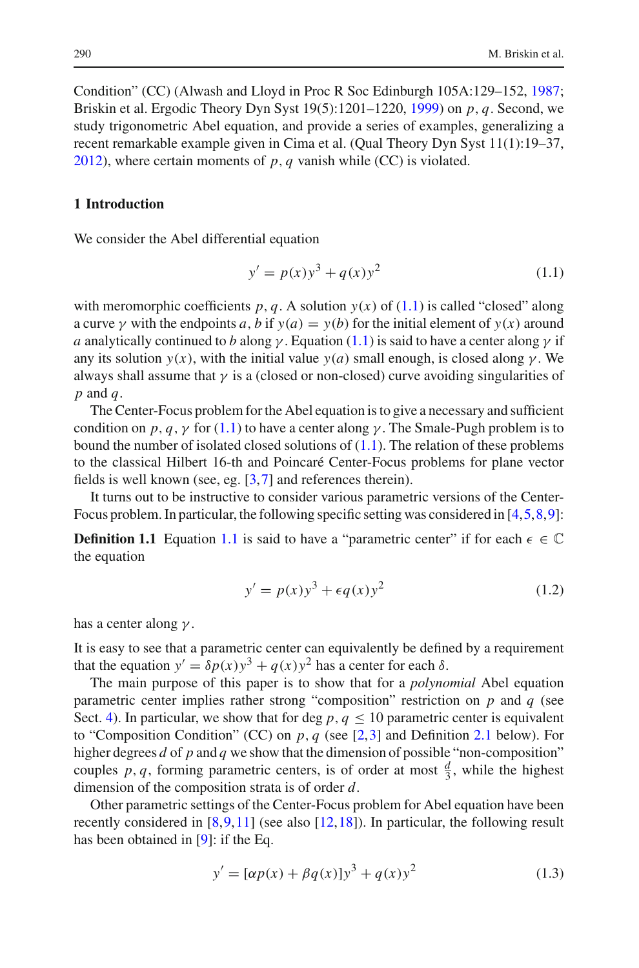Condition" (CC) (Alwash and Lloyd in Proc R Soc Edinburgh 105A:129–152, [1987;](#page-14-6) Briskin et al. Ergodic Theory Dyn Syst 19(5):1201–1220, [1999\)](#page-14-0) on *p*, *q*. Second, we study trigonometric Abel equation, and provide a series of examples, generalizing a recent remarkable example given in Cima et al. (Qual Theory Dyn Syst 11(1):19–37, [2012\)](#page-14-2), where certain moments of *p*, *q* vanish while (CC) is violated.

# **1 Introduction**

<span id="page-1-0"></span>We consider the Abel differential equation

$$
y' = p(x)y^{3} + q(x)y^{2}
$$
 (1.1)

with meromorphic coefficients  $p, q$ . A solution  $y(x)$  of [\(1.1\)](#page-1-0) is called "closed" along a curve  $\gamma$  with the endpoints *a*, *b* if  $\gamma(a) = \gamma(b)$  for the initial element of  $\gamma(x)$  around *a* analytically continued to *b* along  $\gamma$ . Equation [\(1.1\)](#page-1-0) is said to have a center along  $\gamma$  if any its solution  $y(x)$ , with the initial value  $y(a)$  small enough, is closed along  $\gamma$ . We always shall assume that  $\gamma$  is a (closed or non-closed) curve avoiding singularities of *p* and *q*.

The Center-Focus problem for the Abel equation is to give a necessary and sufficient condition on *p*, *q*, *y* for [\(1.1\)](#page-1-0) to have a center along  $\gamma$ . The Smale-Pugh problem is to bound the number of isolated closed solutions of  $(1.1)$ . The relation of these problems to the classical Hilbert 16-th and Poincaré Center-Focus problems for plane vector fields is well known (see, eg. [\[3,](#page-14-0)[7\]](#page-14-7) and references therein).

It turns out to be instructive to consider various parametric versions of the Center-Focus problem. In particular, the following specific setting was considered in [\[4](#page-14-1),[5](#page-14-8),[8,](#page-14-2)[9\]](#page-14-3):

**Definition [1.1](#page-1-0)** Equation 1.1 is said to have a "parametric center" if for each  $\epsilon \in \mathbb{C}$ the equation

$$
y' = p(x)y^3 + \epsilon q(x)y^2 \tag{1.2}
$$

<span id="page-1-1"></span>has a center along  $\gamma$ .

It is easy to see that a parametric center can equivalently be defined by a requirement that the equation  $y' = \delta p(x)y^3 + q(x)y^2$  has a center for each  $\delta$ .

The main purpose of this paper is to show that for a *polynomial* Abel equation parametric center implies rather strong "composition" restriction on *p* and *q* (see Sect. [4\)](#page-8-0). In particular, we show that for deg  $p, q \le 10$  parametric center is equivalent to "Composition Condition" (CC) on *p*, *q* (see [\[2](#page-14-6)[,3](#page-14-0)] and Definition [2.1](#page-5-0) below). For higher degrees *d* of *p* and *q* we show that the dimension of possible "non-composition" couples *p*, *q*, forming parametric centers, is of order at most  $\frac{d}{3}$ , while the highest dimension of the composition strata is of order *d*.

Other parametric settings of the Center-Focus problem for Abel equation have been recently considered in  $[8,9,11]$  $[8,9,11]$  $[8,9,11]$  $[8,9,11]$  (see also  $[12,18]$  $[12,18]$ ). In particular, the following result has been obtained in [\[9](#page-14-3)]: if the Eq.

$$
y' = [\alpha p(x) + \beta q(x)]y^{3} + q(x)y^{2}
$$
\n(1.3)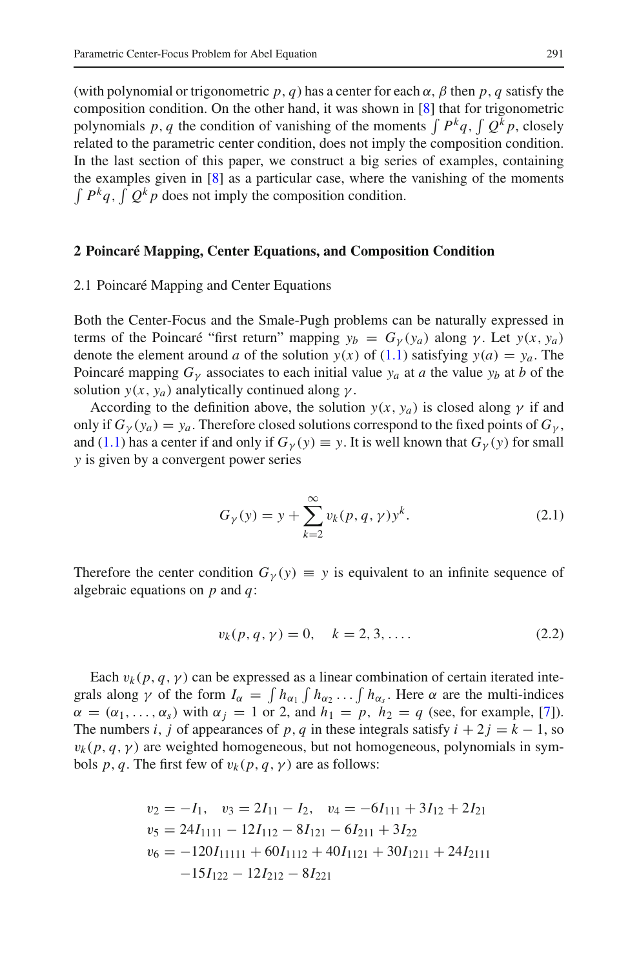(with polynomial or trigonometric  $p$ ,  $q$ ) has a center for each  $\alpha$ ,  $\beta$  then  $p$ ,  $q$  satisfy the composition condition. On the other hand, it was shown in [\[8](#page-14-2)] that for trigonometric polynomials p, q the condition of vanishing of the moments  $\int P^k q$ ,  $\int Q^k p$ , closely related to the parametric center condition, does not imply the composition condition. In the last section of this paper, we construct a big series of examples, containing the examples given in [\[8\]](#page-14-2) as a particular case, where the vanishing of the moments  $\int P^k q$ ,  $\int Q^k p$  does not imply the composition condition.

### <span id="page-2-0"></span>**2 Poincaré Mapping, Center Equations, and Composition Condition**

#### 2.1 Poincaré Mapping and Center Equations

Both the Center-Focus and the Smale-Pugh problems can be naturally expressed in terms of the Poincaré "first return" mapping  $y_b = G_y(y_a)$  along  $\gamma$ . Let  $y(x, y_a)$ denote the element around *a* of the solution  $y(x)$  of [\(1.1\)](#page-1-0) satisfying  $y(a) = y_a$ . The Poincaré mapping  $G<sub>y</sub>$  associates to each initial value  $y<sub>a</sub>$  at *a* the value  $y<sub>b</sub>$  at *b* of the solution  $y(x, y_a)$  analytically continued along  $\gamma$ .

According to the definition above, the solution  $y(x, y_a)$  is closed along  $\gamma$  if and only if  $G_{\gamma}(y_a) = y_a$ . Therefore closed solutions correspond to the fixed points of  $G_{\gamma}$ , and [\(1.1\)](#page-1-0) has a center if and only if  $G<sub>\gamma</sub>(y) \equiv y$ . It is well known that  $G<sub>\gamma</sub>(y)$  for small *y* is given by a convergent power series

$$
G_{\gamma}(y) = y + \sum_{k=2}^{\infty} v_k(p, q, \gamma) y^k.
$$
 (2.1)

Therefore the center condition  $G_y(y) \equiv y$  is equivalent to an infinite sequence of algebraic equations on *p* and *q*:

$$
v_k(p, q, \gamma) = 0, \quad k = 2, 3, .... \tag{2.2}
$$

Each  $v_k$  (*p*, *q*,  $\gamma$ ) can be expressed as a linear combination of certain iterated integrals along  $\gamma$  of the form  $I_{\alpha} = \int h_{\alpha_1} \int h_{\alpha_2} \dots \int h_{\alpha_s}$ . Here  $\alpha$  are the multi-indices  $\alpha = (\alpha_1, \ldots, \alpha_s)$  with  $\alpha_i = 1$  or 2, and  $h_1 = p$ ,  $h_2 = q$  (see, for example, [\[7\]](#page-14-7)). The numbers *i*, *j* of appearances of *p*, *q* in these integrals satisfy  $i + 2j = k - 1$ , so  $v_k(p, q, \gamma)$  are weighted homogeneous, but not homogeneous, polynomials in symbols *p*, *q*. The first few of  $v_k(p, q, \gamma)$  are as follows:

$$
v_2 = -I_1, v_3 = 2I_{11} - I_2, v_4 = -6I_{111} + 3I_{12} + 2I_{21}
$$
  
\n
$$
v_5 = 24I_{1111} - 12I_{112} - 8I_{121} - 6I_{211} + 3I_{22}
$$
  
\n
$$
v_6 = -120I_{11111} + 60I_{1112} + 40I_{1121} + 30I_{1211} + 24I_{2111}
$$
  
\n
$$
-15I_{122} - 12I_{212} - 8I_{221}
$$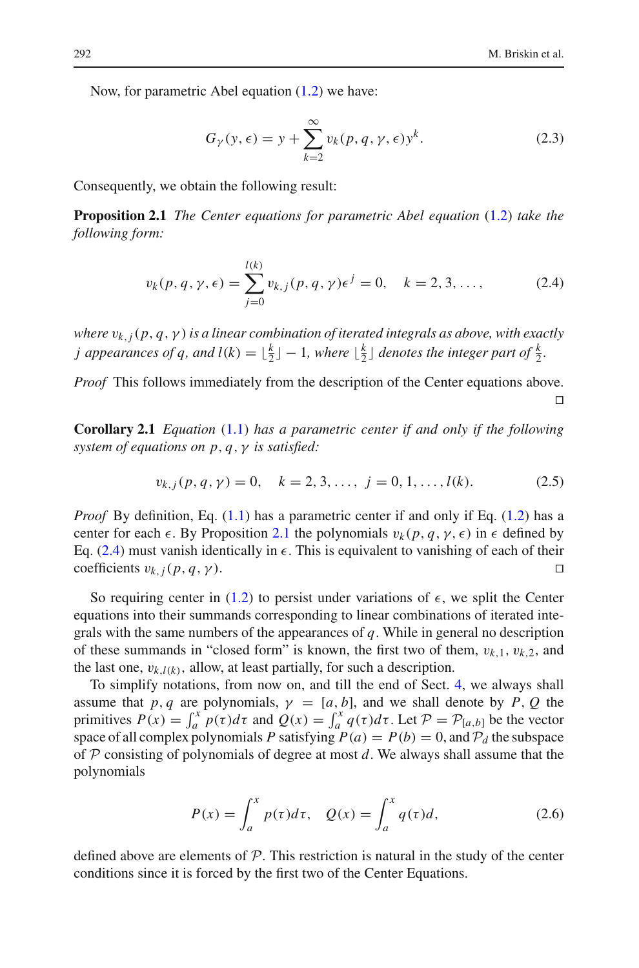Now, for parametric Abel equation [\(1.2\)](#page-1-1) we have:

$$
G_{\gamma}(y,\epsilon) = y + \sum_{k=2}^{\infty} v_k(p,q,\gamma,\epsilon) y^k.
$$
 (2.3)

<span id="page-3-0"></span>Consequently, we obtain the following result:

**Proposition 2.1** *The Center equations for parametric Abel equation* [\(1.2\)](#page-1-1) *take the following form:*

$$
v_k(p, q, \gamma, \epsilon) = \sum_{j=0}^{l(k)} v_{k,j}(p, q, \gamma) \epsilon^j = 0, \quad k = 2, 3, ..., \quad (2.4)
$$

<span id="page-3-1"></span>*where* v*k*,*j*(*p*, *q*,γ) *is a linear combination of iterated integrals as above, with exactly j* appearances of q, and  $l(k) = \lfloor \frac{k}{2} \rfloor - 1$ , where  $\lfloor \frac{k}{2} \rfloor$  denotes the integer part of  $\frac{k}{2}$ .

*Proof* This follows immediately from the description of the Center equations above.  $\Box$ 

<span id="page-3-2"></span>**Corollary 2.1** *Equation* [\(1.1\)](#page-1-0) *has a parametric center if and only if the following system of equations on p*, *q*, γ *is satisfied:*

$$
v_{k,j}(p,q,\gamma) = 0, \quad k = 2, 3, \dots, \ j = 0, 1, \dots, l(k). \tag{2.5}
$$

<span id="page-3-3"></span>*Proof* By definition, Eq. [\(1.1\)](#page-1-0) has a parametric center if and only if Eq. [\(1.2\)](#page-1-1) has a center for each  $\epsilon$ . By Proposition [2.1](#page-3-0) the polynomials  $v_k(p, q, \gamma, \epsilon)$  in  $\epsilon$  defined by Eq.  $(2.4)$  must vanish identically in  $\epsilon$ . This is equivalent to vanishing of each of their coefficients  $v_{k,j}(p,q,\gamma)$ .

So requiring center in [\(1.2\)](#page-1-1) to persist under variations of  $\epsilon$ , we split the Center equations into their summands corresponding to linear combinations of iterated integrals with the same numbers of the appearances of *q*. While in general no description of these summands in "closed form" is known, the first two of them, v*k*,1, v*k*,2, and the last one,  $v_{k,l(k)}$ , allow, at least partially, for such a description.

To simplify notations, from now on, and till the end of Sect. [4,](#page-8-0) we always shall assume that *p*, *q* are polynomials,  $\gamma = [a, b]$ , and we shall denote by *P*, *Q* the primitives  $P(x) = \int_a^x p(\tau) d\tau$  and  $Q(x) = \int_a^x q(\tau) d\tau$ . Let  $P = P_{[a,b]}$  be the vector space of all complex polynomials *P* satisfying  $P(a) = P(b) = 0$ , and  $P<sub>d</sub>$  the subspace of *P* consisting of polynomials of degree at most *d*. We always shall assume that the polynomials

$$
P(x) = \int_{a}^{x} p(\tau)d\tau, \quad Q(x) = \int_{a}^{x} q(\tau)d,
$$
\n(2.6)

defined above are elements of *P*. This restriction is natural in the study of the center conditions since it is forced by the first two of the Center Equations.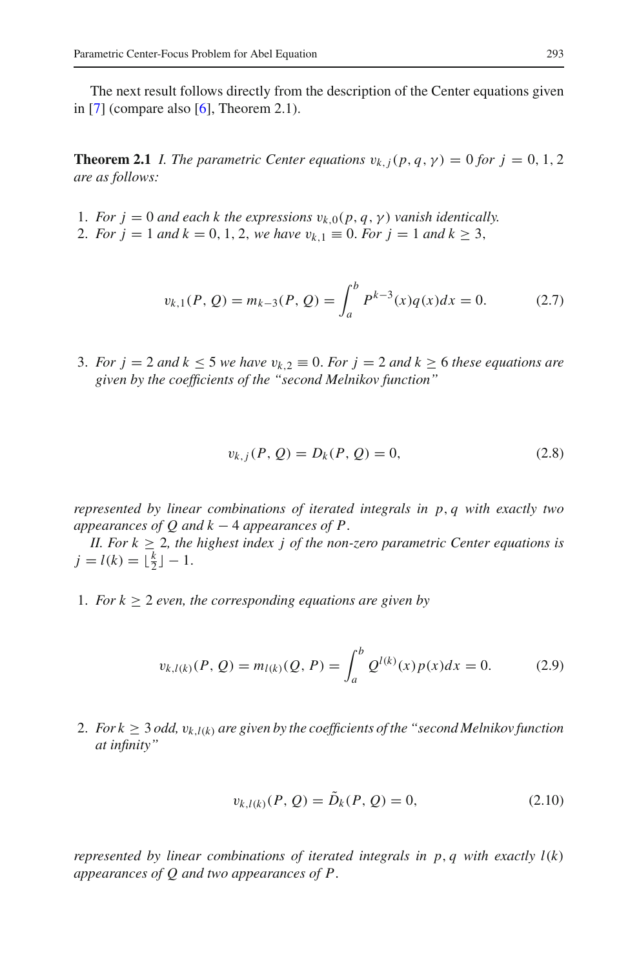<span id="page-4-0"></span>The next result follows directly from the description of the Center equations given in [\[7](#page-14-7)] (compare also  $[6]$  $[6]$ , Theorem 2.1).

**Theorem 2.1** *I. The parametric Center equations*  $v_{k,i}(p, q, \gamma) = 0$  *for*  $j = 0, 1, 2$ *are as follows:*

- 1. *For*  $j = 0$  *and each k the expressions*  $v_{k,0}(p, q, \gamma)$  *vanish identically.*
- 2. *For*  $j = 1$  *and*  $k = 0, 1, 2$ , *we have*  $v_{k,1} \equiv 0$ *. For*  $j = 1$  *and*  $k \ge 3$ ,

$$
v_{k,1}(P,Q) = m_{k-3}(P,Q) = \int_a^b P^{k-3}(x)q(x)dx = 0.
$$
 (2.7)

<span id="page-4-1"></span>3. *For*  $j = 2$  *and*  $k \le 5$  *we have*  $v_{k,2} \equiv 0$ *. For*  $j = 2$  *and*  $k \ge 6$  *these equations are given by the coefficients of the "second Melnikov function"*

$$
v_{k,j}(P, Q) = D_k(P, Q) = 0,
$$
\n(2.8)

*represented by linear combinations of iterated integrals in p*, *q with exactly two appearances of Q and k* − 4 *appearances of P*.

*II. For*  $k \geq 2$ *, the highest index j of the non-zero parametric Center equations is*  $j = l(k) = \lfloor \frac{k}{2} \rfloor - 1.$ 

<span id="page-4-2"></span>1. *For*  $k \geq 2$  *even, the corresponding equations are given by* 

$$
v_{k,l(k)}(P,Q) = m_{l(k)}(Q,P) = \int_{a}^{b} Q^{l(k)}(x)p(x)dx = 0.
$$
 (2.9)

2. *For k*  $\geq$  3 *odd,*  $v_{k,l(k)}$  *are given by the coefficients of the "second Melnikov function at infinity"*

$$
v_{k,l(k)}(P,Q) = \tilde{D}_k(P,Q) = 0,
$$
\n(2.10)

*represented by linear combinations of iterated integrals in*  $p$ *,*  $q$  *with exactly*  $l(k)$ *appearances of Q and two appearances of P*.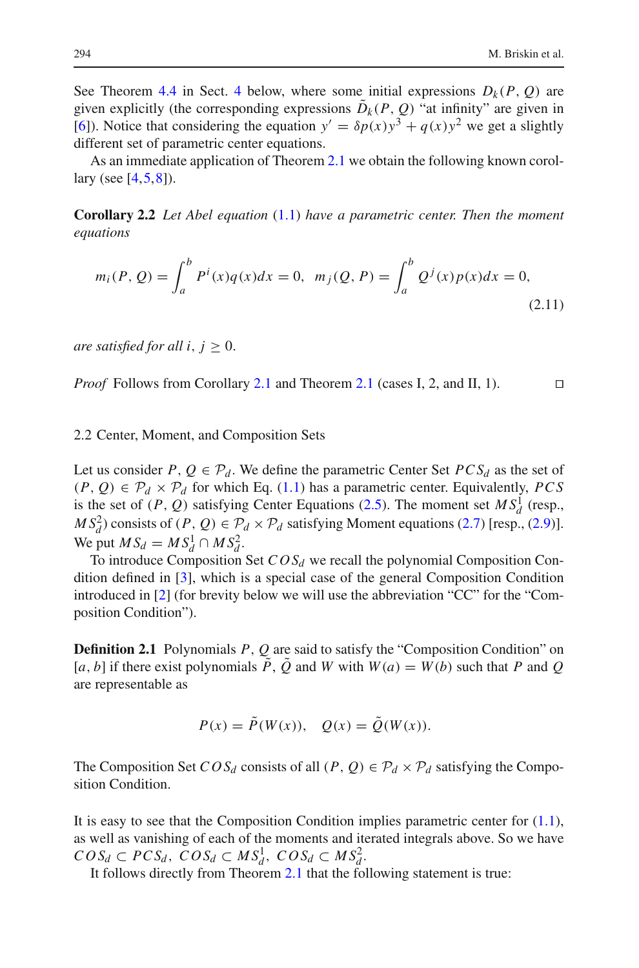See Theorem [4.4](#page-10-0) in Sect. [4](#page-8-0) below, where some initial expressions  $D_k(P, Q)$  are given explicitly (the corresponding expressions  $\tilde{D}_k(P, Q)$  "at infinity" are given in [\[6](#page-14-4)]). Notice that considering the equation  $y' = \delta p(x)y^3 + q(x)y^2$  we get a slightly different set of parametric center equations.

<span id="page-5-1"></span>As an immediate application of Theorem [2.1](#page-4-0) we obtain the following known corollary (see  $[4,5,8]$  $[4,5,8]$  $[4,5,8]$  $[4,5,8]$ ).

<span id="page-5-2"></span>**Corollary 2.2** *Let Abel equation* [\(1.1\)](#page-1-0) *have a parametric center. Then the moment equations*

$$
m_i(P, Q) = \int_a^b P^i(x)q(x)dx = 0, \ \ m_j(Q, P) = \int_a^b Q^j(x)p(x)dx = 0,
$$
\n(2.11)

*are satisfied for all i,*  $j \geq 0$ *.* 

*Proof* Follows from Corollary [2.1](#page-4-0) and Theorem 2.1 (cases I, 2, and II, 1). □

#### 2.2 Center, Moment, and Composition Sets

Let us consider *P*,  $Q \in \mathcal{P}_d$ . We define the parametric Center Set *PCS*<sub>d</sub> as the set of  $(P, Q) \in \mathcal{P}_d \times \mathcal{P}_d$  for which Eq. [\(1.1\)](#page-1-0) has a parametric center. Equivalently, *PCS* is the set of  $(P, Q)$  satisfying Center Equations [\(2.5\)](#page-3-3). The moment set  $MS_d^1$  (resp.,  $MS_d^2$ ) consists of  $(P, Q) \in \mathcal{P}_d \times \mathcal{P}_d$  satisfying Moment equations [\(2.7\)](#page-4-1) [resp., [\(2.9\)](#page-4-2)]. We put  $MS_d = MS_d^1 \cap MS_d^2$ .

To introduce Composition Set  $COS_d$  we recall the polynomial Composition Condition defined in [\[3\]](#page-14-0), which is a special case of the general Composition Condition introduced in [\[2](#page-14-6)] (for brevity below we will use the abbreviation "CC" for the "Composition Condition").

<span id="page-5-0"></span>**Definition 2.1** Polynomials *P*, *Q* are said to satisfy the "Composition Condition" on [*a*, *b*] if there exist polynomials  $\tilde{P}$ ,  $\tilde{Q}$  and *W* with  $W(a) = W(b)$  such that *P* and *Q* are representable as

$$
P(x) = \tilde{P}(W(x)), \quad Q(x) = \tilde{Q}(W(x)).
$$

The Composition Set  $COS_d$  consists of all  $(P, Q) \in \mathcal{P}_d \times \mathcal{P}_d$  satisfying the Composition Condition.

It is easy to see that the Composition Condition implies parametric center for [\(1.1\)](#page-1-0), as well as vanishing of each of the moments and iterated integrals above. So we have  $COS_d \subset PCS_d$ ,  $COS_d \subset MS_d^1$ ,  $COS_d \subset MS_d^2$ .

It follows directly from Theorem [2.1](#page-4-0) that the following statement is true: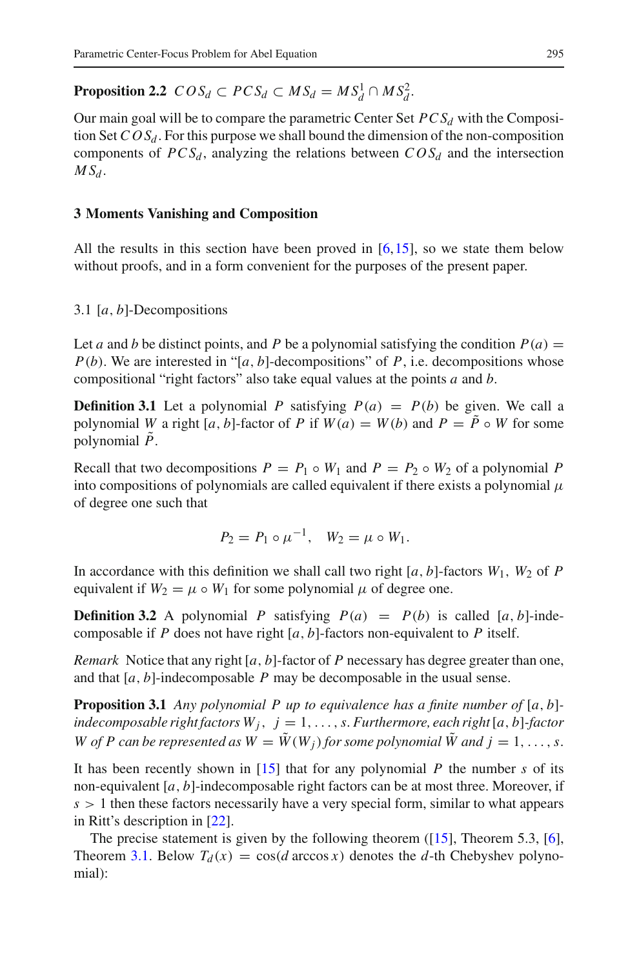**Proposition 2.2**  $COS_d \subset PCS_d \subset MS_d = MS_d^1 \cap MS_d^2$ .

Our main goal will be to compare the parametric Center Set  $PCS_d$  with the Composition Set  $COS_d$ . For this purpose we shall bound the dimension of the non-composition components of  $PCS_d$ , analyzing the relations between  $COS_d$  and the intersection  $MS<sub>d</sub>$ .

# **3 Moments Vanishing and Composition**

All the results in this section have been proved in [\[6](#page-14-4),[15\]](#page-14-5), so we state them below without proofs, and in a form convenient for the purposes of the present paper.

### 3.1 [*a*, *b*]-Decompositions

Let *a* and *b* be distinct points, and *P* be a polynomial satisfying the condition  $P(a)$  =  $P(b)$ . We are interested in "[*a*, *b*]-decompositions" of *P*, i.e. decompositions whose compositional "right factors" also take equal values at the points *a* and *b*.

**Definition 3.1** Let a polynomial P satisfying  $P(a) = P(b)$  be given. We call a polynomial *W* a right [*a*, *b*]-factor of *P* if  $W(a) = W(b)$  and  $P = \tilde{P} \circ W$  for some polynomial  $\ddot{P}$ .

Recall that two decompositions  $P = P_1 \circ W_1$  and  $P = P_2 \circ W_2$  of a polynomial P into compositions of polynomials are called equivalent if there exists a polynomial  $\mu$ of degree one such that

$$
P_2 = P_1 \circ \mu^{-1}, \quad W_2 = \mu \circ W_1.
$$

In accordance with this definition we shall call two right  $[a, b]$ -factors  $W_1$ ,  $W_2$  of P equivalent if  $W_2 = \mu \circ W_1$  for some polynomial  $\mu$  of degree one.

**Definition 3.2** A polynomial *P* satisfying  $P(a) = P(b)$  is called [*a*, *b*]-indecomposable if *P* does not have right [*a*, *b*]-factors non-equivalent to *P* itself.

*Remark* Notice that any right [*a*, *b*]-factor of *P* necessary has degree greater than one, and that [*a*, *b*]-indecomposable *P* may be decomposable in the usual sense.

**Proposition 3.1** *Any polynomial P up to equivalence has a finite number of* [*a*, *b*] *indecomposable right factors*  $W_j$ ,  $j = 1, \ldots, s$ . Furthermore, each right [a, b]-factor *W* of *P* can be represented as  $W = \tilde{W}(W_i)$  for some polynomial  $\tilde{W}$  and  $i = 1, \ldots, s$ .

It has been recently shown in [\[15\]](#page-14-5) that for any polynomial *P* the number *s* of its non-equivalent [*a*, *b*]-indecomposable right factors can be at most three. Moreover, if  $s > 1$  then these factors necessarily have a very special form, similar to what appears in Ritt's description in [\[22](#page-14-12)].

<span id="page-6-0"></span>The precise statement is given by the following theorem  $(15]$ , Theorem 5.3, [\[6](#page-14-4)], Theorem [3.1.](#page-6-0) Below  $T_d(x) = \cos(d \arccos x)$  denotes the *d*-th Chebyshev polynomial):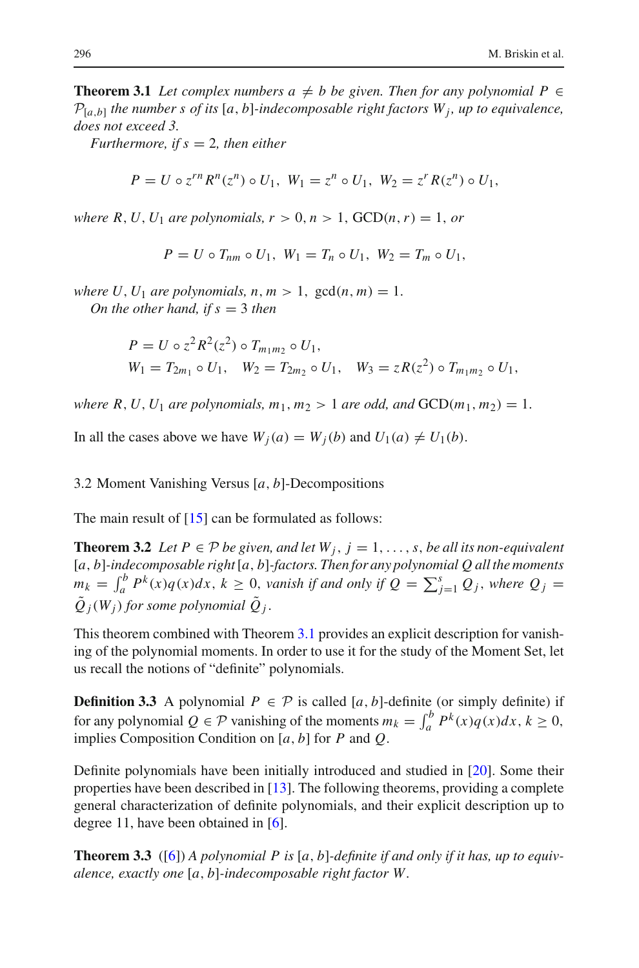**Theorem 3.1** *Let complex numbers*  $a \neq b$  *be given. Then for any polynomial*  $P \in$  $P_{[a,b]}$  *the number s of its* [a, b]-indecomposable right factors  $W_i$ , up to equivalence, *does not exceed 3.*

*Furthermore, if s* = 2*, then either*

$$
P = U \circ z^{rn} R^{n}(z^{n}) \circ U_{1}, W_{1} = z^{n} \circ U_{1}, W_{2} = z^{r} R(z^{n}) \circ U_{1},
$$

*where R, U, U<sub>1</sub> are polynomials,*  $r > 0, n > 1$ *,*  $GCD(n, r) = 1$ *, or* 

$$
P = U \circ T_{nm} \circ U_1, \ W_1 = T_n \circ U_1, \ W_2 = T_m \circ U_1,
$$

*where U*,  $U_1$  *are polynomials, n, m* > 1,  $gcd(n, m) = 1$ . *On the other hand, if s* = 3 *then*

$$
P = U \circ z^2 R^2(z^2) \circ T_{m_1 m_2} \circ U_1,
$$
  
\n
$$
W_1 = T_{2m_1} \circ U_1, \quad W_2 = T_{2m_2} \circ U_1, \quad W_3 = zR(z^2) \circ T_{m_1 m_2} \circ U_1,
$$

*where R, U, U*<sub>1</sub> *are polynomials, m*<sub>1</sub>, *m*<sub>2</sub> > 1 *are odd, and*  $GCD(m_1, m_2) = 1$ .

In all the cases above we have  $W_i(a) = W_i(b)$  and  $U_1(a) \neq U_1(b)$ .

3.2 Moment Vanishing Versus [*a*, *b*]-Decompositions

The main result of  $[15]$  can be formulated as follows:

**Theorem 3.2** *Let*  $P ∈ P$  *be given, and let*  $W_j$ *, j* = 1*,..., s, be all its non-equivalent* [*a*, *b*]*-indecomposable right*[*a*, *b*]*-factors. Then for any polynomial Q all the moments*  $m_k = \int_a^b P^k(x)q(x)dx$ ,  $k \ge 0$ , *vanish if and only if*  $Q = \sum_{j=1}^s Q_j$ , *where*  $Q_j =$  $\tilde{Q}_j(W_j)$  *for some polynomial*  $\tilde{Q}_j$ .

This theorem combined with Theorem [3.1](#page-6-0) provides an explicit description for vanishing of the polynomial moments. In order to use it for the study of the Moment Set, let us recall the notions of "definite" polynomials.

<span id="page-7-1"></span>**Definition 3.3** A polynomial  $P \in \mathcal{P}$  is called [*a*, *b*]-definite (or simply definite) if for any polynomial  $Q \in \mathcal{P}$  vanishing of the moments  $m_k = \int_a^b P^k(x) q(x) dx$ ,  $k \ge 0$ , implies Composition Condition on [*a*, *b*] for *P* and *Q*.

Definite polynomials have been initially introduced and studied in [\[20](#page-14-13)]. Some their properties have been described in [\[13](#page-14-14)]. The following theorems, providing a complete general characterization of definite polynomials, and their explicit description up to degree 11, have been obtained in [\[6](#page-14-4)].

<span id="page-7-0"></span>**Theorem 3.3** ([\[6\]](#page-14-4)) *A polynomial P is* [*a*, *b*]*-definite if and only if it has, up to equivalence, exactly one* [*a*, *b*]*-indecomposable right factor W .*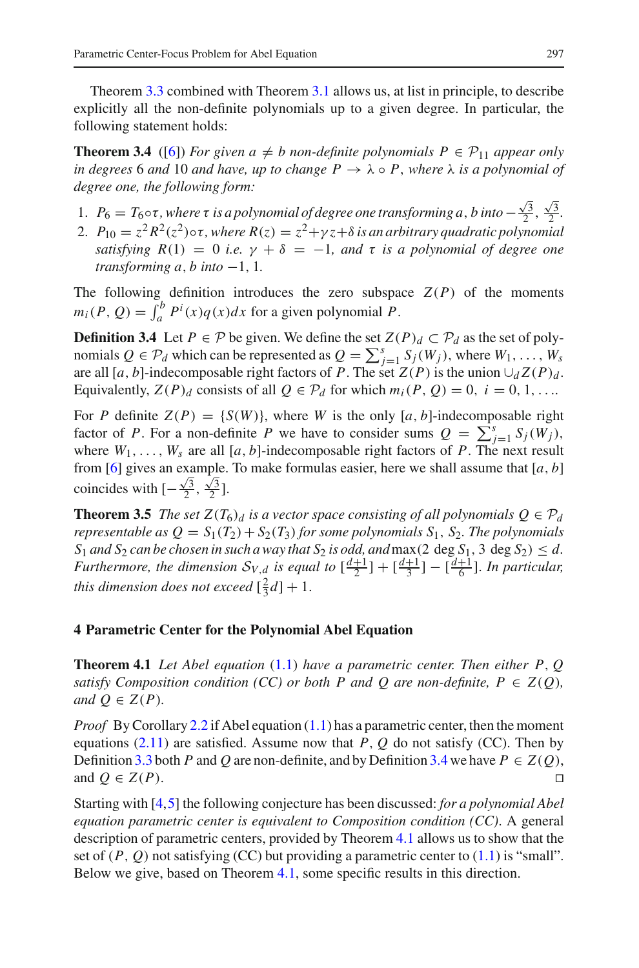Theorem [3.3](#page-7-0) combined with Theorem [3.1](#page-6-0) allows us, at list in principle, to describe explicitly all the non-definite polynomials up to a given degree. In particular, the following statement holds:

<span id="page-8-3"></span>**Theorem 3.4** ([\[6\]](#page-14-4)) *For given a*  $\neq$  *b* non-definite polynomials  $P \in \mathcal{P}_{11}$  appear only *in degrees* 6 *and* 10 *and have, up to change*  $P \rightarrow \lambda \circ P$ *, where*  $\lambda$  *is a polynomial of degree one, the following form:*

- 1. *P*<sub>6</sub> = *T*<sub>6</sub>◦τ, where τ *is a polynomial of degree one transforming <i>a*, *b into* −  $\frac{\sqrt{3}}{2}$ ,  $\frac{\sqrt{3}}{2}$ .
- 2.  $P_{10} = z^2 R^2(z^2) \circ \tau$ , where  $R(z) = z^2 + \gamma z + \delta$  *is an arbitrary quadratic polynomial satisfying*  $R(1) = 0$  *i.e.*  $\gamma + \delta = -1$ *, and*  $\tau$  *is a polynomial of degree one transforming a, b into*  $-1$ , 1*.*

The following definition introduces the zero subspace  $Z(P)$  of the moments  $m_i(P, Q) = \int_a^b P^i(x)q(x)dx$  for a given polynomial *P*.

<span id="page-8-1"></span>**Definition 3.4** Let  $P \in \mathcal{P}$  be given. We define the set  $Z(P)_d \subset \mathcal{P}_d$  as the set of polynomials  $Q \in \mathcal{P}_d$  which can be represented as  $Q = \sum_{j=1}^s S_j(W_j)$ , where  $W_1, \ldots, W_s$ are all [ $a$ ,  $b$ ]-indecomposable right factors of *P*. The set  $Z(P)$  is the union  $\bigcup_{d} Z(P)_{d}$ . Equivalently,  $Z(P)_d$  consists of all  $Q \in \mathcal{P}_d$  for which  $m_i(P, Q) = 0$ ,  $i = 0, 1, \ldots$ 

For *P* definite  $Z(P) = \{S(W)\}\$ , where *W* is the only [*a*, *b*]-indecomposable right factor of *P*. For a non-definite *P* we have to consider sums  $Q = \sum_{j=1}^{s} S_j(W_j)$ , where  $W_1, \ldots, W_s$  are all [*a*, *b*]-indecomposable right factors of *P*. The next result from [\[6\]](#page-14-4) gives an example. To make formulas easier, here we shall assume that [*a*, *b*] coincides with  $[-\frac{\sqrt{3}}{2}, \frac{\sqrt{3}}{2}].$ 

<span id="page-8-5"></span>**Theorem 3.5** *The set*  $Z(T_6)$ *d is a vector space consisting of all polynomials*  $Q \in \mathcal{P}_d$ *representable as*  $Q = S_1(T_2) + S_2(T_3)$  *for some polynomials*  $S_1$ ,  $S_2$ *. The polynomials*  $S_1$  *and*  $S_2$  *can be chosen in such a way that*  $S_2$  *is odd, and* max(2 deg  $S_1$ , 3 deg  $S_2$ )  $\leq d$ . *Furthermore, the dimension*  $S_{V,d}$  *is equal to*  $\left[\frac{d+1}{2}\right] + \left[\frac{d+1}{3}\right] - \left[\frac{d+1}{6}\right]$ *. In particular, this dimension does not exceed*  $\left[\frac{2}{3}d\right]+1$ .

### <span id="page-8-0"></span>**4 Parametric Center for the Polynomial Abel Equation**

<span id="page-8-2"></span>**Theorem 4.1** *Let Abel equation* [\(1.1\)](#page-1-0) *have a parametric center. Then either P*, *Q satisfy Composition condition (CC) or both P and Q are non-definite,*  $P \in Z(O)$ *, and*  $Q \in Z(P)$ *.* 

*Proof* By Corollary [2.2](#page-5-1) if Abel equation [\(1.1\)](#page-1-0) has a parametric center, then the moment equations  $(2.11)$  are satisfied. Assume now that *P*, *Q* do not satisfy (CC). Then by Definition [3.3](#page-7-1) both *P* and *Q* are non-definite, and by Definition [3.4](#page-8-1) we have  $P \in Z(Q)$ , and  $Q \in Z(P)$ .

<span id="page-8-4"></span>Starting with [\[4](#page-14-1)[,5](#page-14-8)] the following conjecture has been discussed: *for a polynomial Abel equation parametric center is equivalent to Composition condition (CC)*. A general description of parametric centers, provided by Theorem [4.1](#page-8-2) allows us to show that the set of  $(P, Q)$  not satisfying (CC) but providing a parametric center to  $(1.1)$  is "small". Below we give, based on Theorem [4.1,](#page-8-2) some specific results in this direction.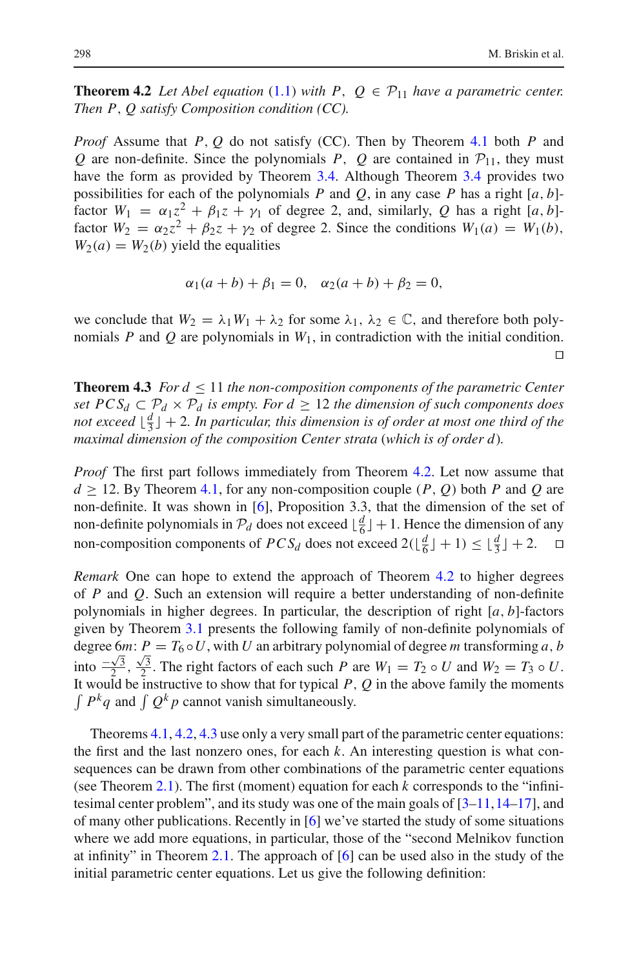**Theorem 4.2** Let Abel equation [\(1.1\)](#page-1-0) with P,  $Q \in \mathcal{P}_{11}$  have a parametric center. *Then P*, *Q satisfy Composition condition (CC).*

*Proof* Assume that *P*, *Q* do not satisfy (CC). Then by Theorem [4.1](#page-8-2) both *P* and *Q* are non-definite. Since the polynomials *P*, *Q* are contained in  $P_{11}$ , they must have the form as provided by Theorem [3.4.](#page-8-3) Although Theorem [3.4](#page-8-3) provides two possibilities for each of the polynomials *P* and *Q*, in any case *P* has a right  $[a, b]$ factor  $W_1 = \alpha_1 z^2 + \beta_1 z + \gamma_1$  of degree 2, and, similarly, *Q* has a right [*a*, *b*]factor  $W_2 = \alpha_2 z^2 + \beta_2 z + \gamma_2$  of degree 2. Since the conditions  $W_1(a) = W_1(b)$ ,  $W_2(a) = W_2(b)$  yield the equalities

$$
\alpha_1(a+b) + \beta_1 = 0
$$
,  $\alpha_2(a+b) + \beta_2 = 0$ ,

we conclude that  $W_2 = \lambda_1 W_1 + \lambda_2$  for some  $\lambda_1, \lambda_2 \in \mathbb{C}$ , and therefore both polynomials *P* and *Q* are polynomials in  $W_1$ , in contradiction with the initial condition.  $\Box$ 

<span id="page-9-0"></span>**Theorem 4.3** *For*  $d \leq 11$  *the non-composition components of the parametric Center set*  $PCS_d \subset P_d \times P_d$  *is empty. For*  $d \geq 12$  *the dimension of such components does not exceed*  $\lfloor \frac{d}{3} \rfloor + 2$ *. In particular, this dimension is of order at most one third of the maximal dimension of the composition Center strata* (*which is of order d*)*.*

*Proof* The first part follows immediately from Theorem [4.2.](#page-8-4) Let now assume that  $d \ge 12$ . By Theorem [4.1,](#page-8-2) for any non-composition couple  $(P, Q)$  both P and Q are non-definite. It was shown in [\[6\]](#page-14-4), Proposition 3.3, that the dimension of the set of non-definite polynomials in  $P_d$  does not exceed  $\lfloor \frac{d}{6} \rfloor + 1$ . Hence the dimension of any non-composition components of  $PCS_d$  does not exceed  $2(\lfloor \frac{d}{6} \rfloor + 1) \leq \lfloor \frac{d}{3} \rfloor + 2$ .  $\Box$ 

*Remark* One can hope to extend the approach of Theorem [4.2](#page-8-4) to higher degrees of *P* and *Q*. Such an extension will require a better understanding of non-definite polynomials in higher degrees. In particular, the description of right [*a*, *b*]-factors given by Theorem [3.1](#page-6-0) presents the following family of non-definite polynomials of degree 6*m*:  $P = T_6 \circ U$ , with *U* an arbitrary polynomial of degree *m* transforming *a*, *b* into  $\frac{-\sqrt{3}}{2}, \frac{\sqrt{3}}{2}$ . The right factors of each such *P* are  $W_1 = T_2 \circ U$  and  $W_2 = T_3 \circ U$ . It would be instructive to show that for typical  $P$ ,  $Q$  in the above family the moments  $\int P^k q$  and  $\int Q^k p$  cannot vanish simultaneously.

<span id="page-9-1"></span>Theorems [4.1,](#page-8-2) [4.2,](#page-8-4) [4.3](#page-9-0) use only a very small part of the parametric center equations: the first and the last nonzero ones, for each *k*. An interesting question is what consequences can be drawn from other combinations of the parametric center equations (see Theorem [2.1\)](#page-4-0). The first (moment) equation for each *k* corresponds to the "infinitesimal center problem", and its study was one of the main goals of  $[3-11, 14-17]$  $[3-11, 14-17]$  $[3-11, 14-17]$  $[3-11, 14-17]$ , and of many other publications. Recently in [\[6\]](#page-14-4) we've started the study of some situations where we add more equations, in particular, those of the "second Melnikov function at infinity" in Theorem [2.1.](#page-4-0) The approach of [\[6](#page-14-4)] can be used also in the study of the initial parametric center equations. Let us give the following definition: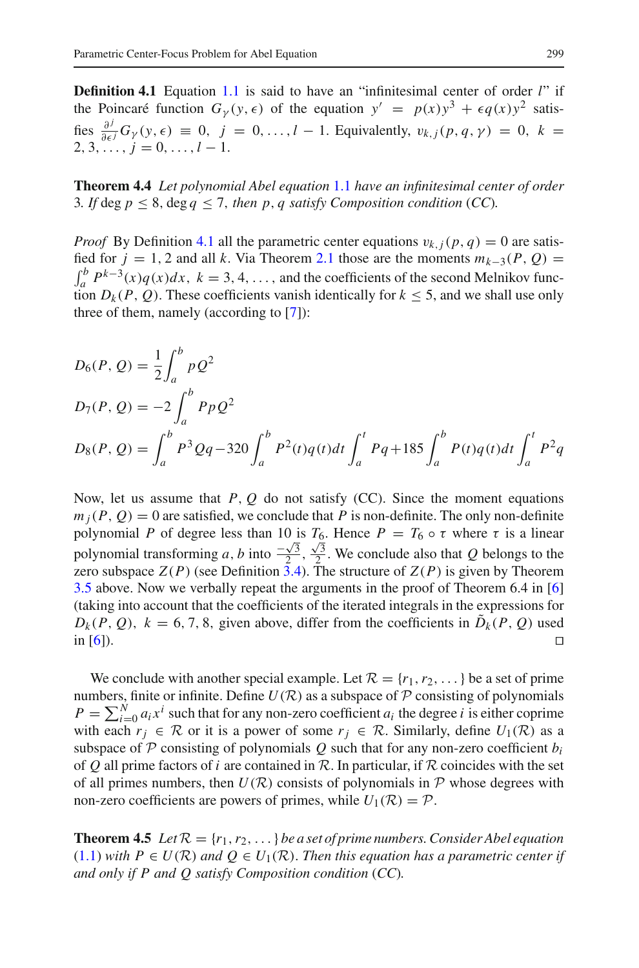**Definition 4.1** Equation [1.1](#page-1-0) is said to have an "infinitesimal center of order *l*" if the Poincaré function  $G_y(y, \epsilon)$  of the equation  $y' = p(x)y^3 + \epsilon q(x)y^2$  satisfies  $\frac{\partial^j}{\partial \epsilon^j} G_\gamma(y, \epsilon) \equiv 0, j = 0, \ldots, l - 1$ . Equivalently,  $v_{k,j}(p, q, \gamma) = 0, k =$  $2, 3, \ldots, j = 0, \ldots, l-1.$ 

<span id="page-10-0"></span>**Theorem 4.4** *Let polynomial Abel equation* [1.1](#page-1-0) *have an infinitesimal center of order* 3. If deg  $p \leq 8$ , deg  $q \leq 7$ , then p, q satisfy Composition condition (CC).

*Proof* By Definition [4.1](#page-9-1) all the parametric center equations  $v_{k,i}(p, q) = 0$  are satisfied for  $j = 1, 2$  and all k. Via Theorem [2.1](#page-4-0) those are the moments  $m_{k-3}(P, Q) =$  $\int_a^b P^{k-3}(x)q(x)dx$ ,  $k = 3, 4, \ldots$ , and the coefficients of the second Melnikov function  $D_k(P, Q)$ . These coefficients vanish identically for  $k \le 5$ , and we shall use only three of them, namely (according to [\[7](#page-14-7)]):

$$
D_6(P, Q) = \frac{1}{2} \int_a^b p Q^2
$$
  
\n
$$
D_7(P, Q) = -2 \int_a^b P p Q^2
$$
  
\n
$$
D_8(P, Q) = \int_a^b P^3 Q q - 320 \int_a^b P^2(t) q(t) dt \int_a^t P q + 185 \int_a^b P(t) q(t) dt \int_a^t P^2 q
$$

Now, let us assume that *P*, *Q* do not satisfy (CC). Since the moment equations  $m_i(P, Q) = 0$  are satisfied, we conclude that *P* is non-definite. The only non-definite polynomial *P* of degree less than 10 is  $T_6$ . Hence  $P = T_6 \circ \tau$  where  $\tau$  is a linear polynomial transforming *a*, *b* into  $\frac{-\sqrt{3}}{2}$ ,  $\frac{\sqrt{3}}{2}$ . We conclude also that *Q* belongs to the zero subspace  $Z(P)$  (see Definition [3.4\)](#page-8-1). The structure of  $Z(P)$  is given by Theorem [3.5](#page-8-5) above. Now we verbally repeat the arguments in the proof of Theorem 6.4 in [\[6\]](#page-14-4) (taking into account that the coefficients of the iterated integrals in the expressions for  $D_k(P, Q)$ ,  $k = 6, 7, 8$ , given above, differ from the coefficients in  $D_k(P, Q)$  used in [\[6](#page-14-4)]).

We conclude with another special example. Let  $\mathcal{R} = \{r_1, r_2, \dots\}$  be a set of prime numbers, finite or infinite. Define  $U(\mathcal{R})$  as a subspace of  $\mathcal P$  consisting of polynomials  $P = \sum_{i=0}^{N} a_i x^i$  such that for any non-zero coefficient  $a_i$  the degree *i* is either coprime with each  $r_i \in \mathcal{R}$  or it is a power of some  $r_j \in \mathcal{R}$ . Similarly, define  $U_1(\mathcal{R})$  as a subspace of  $P$  consisting of polynomials  $Q$  such that for any non-zero coefficient  $b_i$ of *Q* all prime factors of *i* are contained in *R*. In particular, if *R* coincides with the set of all primes numbers, then  $U(\mathcal{R})$  consists of polynomials in  $\mathcal P$  whose degrees with non-zero coefficients are powers of primes, while  $U_1(\mathcal{R}) = \mathcal{P}$ .

**Theorem 4.5** *Let*  $\mathcal{R} = \{r_1, r_2, \dots\}$  *be a set of prime numbers. Consider Abel equation*  $(1.1)$  *with*  $P \in U(\mathcal{R})$  *and*  $Q \in U_1(\mathcal{R})$ *. Then this equation has a parametric center if and only if P and Q satisfy Composition condition* (*CC*)*.*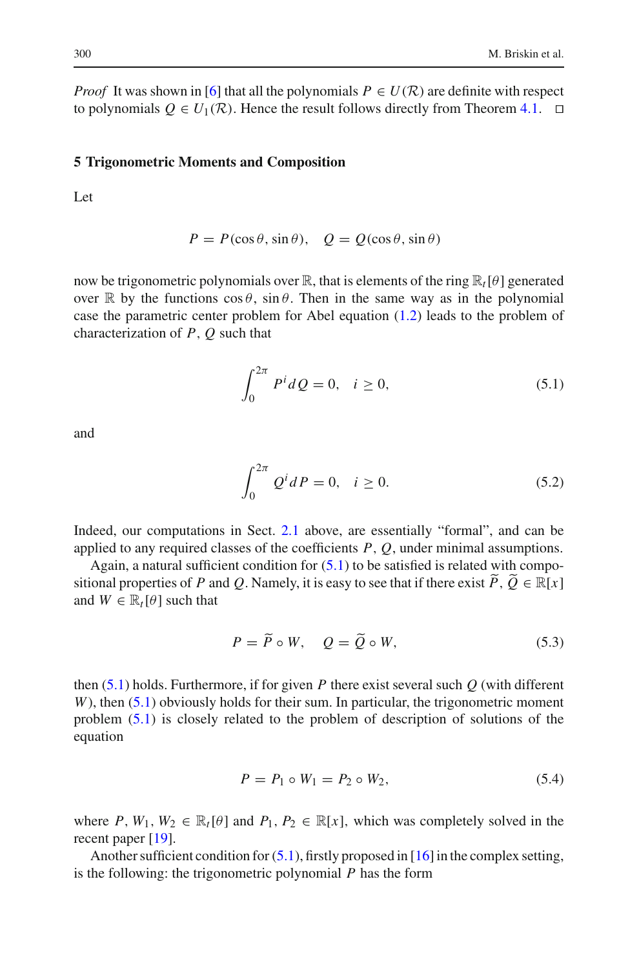*Proof* It was shown in [\[6](#page-14-4)] that all the polynomials  $P \in U(\mathcal{R})$  are definite with respect to polynomials  $O \in U_1(\mathcal{R})$ . Hence the result follows directly from Theorem [4.1.](#page-8-2)  $\Box$ 

#### **5 Trigonometric Moments and Composition**

Let

$$
P = P(\cos \theta, \sin \theta), \quad Q = Q(\cos \theta, \sin \theta)
$$

now be trigonometric polynomials over  $\mathbb{R}$ , that is elements of the ring  $\mathbb{R}_t[\theta]$  generated over R by the functions  $\cos \theta$ ,  $\sin \theta$ . Then in the same way as in the polynomial case the parametric center problem for Abel equation [\(1.2\)](#page-1-1) leads to the problem of characterization of *P*, *Q* such that

$$
\int_0^{2\pi} P^i dQ = 0, \quad i \ge 0,
$$
\n(5.1)

<span id="page-11-1"></span><span id="page-11-0"></span>and

$$
\int_0^{2\pi} Q^i dP = 0, \quad i \ge 0.
$$
 (5.2)

Indeed, our computations in Sect. [2.1](#page-2-0) above, are essentially "formal", and can be applied to any required classes of the coefficients *P*, *Q*, under minimal assumptions.

Again, a natural sufficient condition for  $(5.1)$  to be satisfied is related with compositional properties of *P* and *Q*. Namely, it is easy to see that if there exist  $\widetilde{P}$ ,  $\widetilde{Q} \in \mathbb{R}[x]$ and  $W \in \mathbb{R}_t[\theta]$  such that

$$
P = \tilde{P} \circ W, \quad Q = \tilde{Q} \circ W,\tag{5.3}
$$

<span id="page-11-2"></span>then [\(5.1\)](#page-11-0) holds. Furthermore, if for given *P* there exist several such *Q* (with different *W*), then [\(5.1\)](#page-11-0) obviously holds for their sum. In particular, the trigonometric moment problem [\(5.1\)](#page-11-0) is closely related to the problem of description of solutions of the equation

$$
P = P_1 \circ W_1 = P_2 \circ W_2,\tag{5.4}
$$

where *P*,  $W_1, W_2 \in \mathbb{R}_t[\theta]$  and  $P_1, P_2 \in \mathbb{R}[x]$ , which was completely solved in the recent paper [\[19](#page-14-17)].

Another sufficient condition for  $(5.1)$ , firstly proposed in [\[16\]](#page-14-18) in the complex setting, is the following: the trigonometric polynomial *P* has the form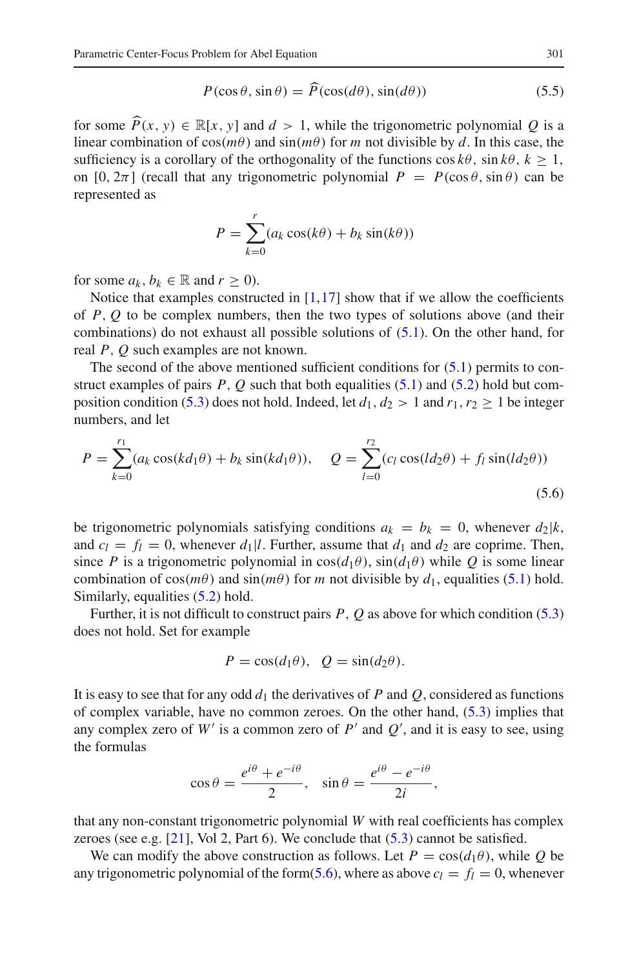$$
P(\cos \theta, \sin \theta) = \widehat{P}(\cos(d\theta), \sin(d\theta))
$$
\n(5.5)

for some  $\widehat{P}(x, y) \in \mathbb{R}[x, y]$  and  $d > 1$ , while the trigonometric polynomial *Q* is a linear combination of  $cos(m\theta)$  and  $sin(m\theta)$  for m not divisible by *d*. In this case, the linear combination of  $cos(m\theta)$  and  $sin(m\theta)$  for *m* not divisible by *d*. In this case, the sufficiency is a corollary of the orthogonality of the functions  $\cos k\theta$ ,  $\sin k\theta$ ,  $k > 1$ , on  $[0, 2\pi]$  (recall that any trigonometric polynomial  $P = P(\cos \theta, \sin \theta)$  can be represented as

$$
P = \sum_{k=0}^{r} (a_k \cos(k\theta) + b_k \sin(k\theta))
$$

for some  $a_k$ ,  $b_k \in \mathbb{R}$  and  $r \geq 0$ ).

Notice that examples constructed in  $[1,17]$  $[1,17]$  show that if we allow the coefficients of *P*, *Q* to be complex numbers, then the two types of solutions above (and their combinations) do not exhaust all possible solutions of [\(5.1\)](#page-11-0). On the other hand, for real *P*, *Q* such examples are not known.

The second of the above mentioned sufficient conditions for  $(5.1)$  permits to construct examples of pairs  $P$ ,  $Q$  such that both equalities  $(5.1)$  and  $(5.2)$  hold but com-position condition [\(5.3\)](#page-11-2) does not hold. Indeed, let  $d_1$ ,  $d_2 > 1$  and  $r_1$ ,  $r_2 > 1$  be integer numbers, and let

<span id="page-12-0"></span>
$$
P = \sum_{k=0}^{r_1} (a_k \cos(kd_1\theta) + b_k \sin(kd_1\theta)), \quad Q = \sum_{l=0}^{r_2} (c_l \cos(ld_2\theta) + f_l \sin(ld_2\theta))
$$
\n(5.6)

be trigonometric polynomials satisfying conditions  $a_k = b_k = 0$ , whenever  $d_2|k$ , and  $c_l = f_l = 0$ , whenever  $d_l \mid l$ . Further, assume that  $d_l$  and  $d_2$  are coprime. Then, since *P* is a trigonometric polynomial in  $cos(d_1\theta)$ ,  $sin(d_1\theta)$  while *Q* is some linear combination of  $cos(m\theta)$  and  $sin(m\theta)$  for *m* not divisible by  $d_1$ , equalities [\(5.1\)](#page-11-0) hold. Similarly, equalities [\(5.2\)](#page-11-1) hold.

Further, it is not difficult to construct pairs *P*, *Q* as above for which condition [\(5.3\)](#page-11-2) does not hold. Set for example

$$
P = \cos(d_1\theta), \quad Q = \sin(d_2\theta).
$$

It is easy to see that for any odd  $d_1$  the derivatives of *P* and *Q*, considered as functions of complex variable, have no common zeroes. On the other hand, [\(5.3\)](#page-11-2) implies that any complex zero of  $W'$  is a common zero of  $P'$  and  $Q'$ , and it is easy to see, using the formulas

$$
\cos \theta = \frac{e^{i\theta} + e^{-i\theta}}{2}, \quad \sin \theta = \frac{e^{i\theta} - e^{-i\theta}}{2i},
$$

that any non-constant trigonometric polynomial *W* with real coefficients has complex zeroes (see e.g.  $[21]$  $[21]$ , Vol 2, Part 6). We conclude that  $(5.3)$  cannot be satisfied.

We can modify the above construction as follows. Let  $P = \cos(d_1\theta)$ , while Q be any trigonometric polynomial of the form[\(5.6\)](#page-12-0), where as above  $c_l = f_l = 0$ , whenever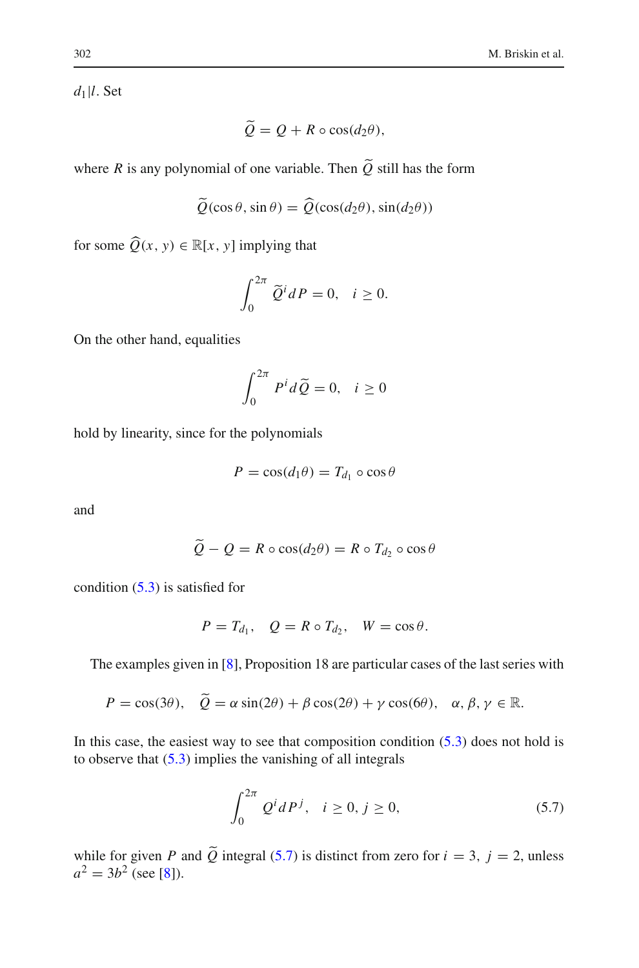*d*1|*l*. Set

$$
Q = Q + R \circ \cos(d_2\theta),
$$

where *R* is any polynomial of one variable. Then *Q* still has the form

$$
\tilde{Q}(\cos\theta, \sin\theta) = \tilde{Q}(\cos(d_2\theta), \sin(d_2\theta))
$$

for some  $\widehat{Q}(x, y) \in \mathbb{R}[x, y]$  implying that

$$
\int_0^{2\pi} \widetilde{Q}^i dP = 0, \quad i \ge 0.
$$

On the other hand, equalities

$$
\int_0^{2\pi} P^i d\widetilde{Q} = 0, \quad i \ge 0
$$

hold by linearity, since for the polynomials

$$
P = \cos(d_1 \theta) = T_{d_1} \circ \cos \theta
$$

and

$$
Q - Q = R \circ \cos(d_2 \theta) = R \circ T_{d_2} \circ \cos \theta
$$

condition [\(5.3\)](#page-11-2) is satisfied for

$$
P = T_{d_1}, \quad Q = R \circ T_{d_2}, \quad W = \cos \theta.
$$

The examples given in [\[8\]](#page-14-2), Proposition 18 are particular cases of the last series with

$$
P = \cos(3\theta), \quad \tilde{Q} = \alpha \sin(2\theta) + \beta \cos(2\theta) + \gamma \cos(6\theta), \quad \alpha, \beta, \gamma \in \mathbb{R}.
$$

In this case, the easiest way to see that composition condition  $(5.3)$  does not hold is to observe that  $(5.3)$  implies the vanishing of all integrals

$$
\int_0^{2\pi} Q^i dP^j, \quad i \ge 0, j \ge 0,
$$
\n(5.7)

<span id="page-13-0"></span>while for given *P* and  $\hat{Q}$  integral [\(5.7\)](#page-13-0) is distinct from zero for  $i = 3$ ,  $j = 2$ , unless  $a^2 = 3b^2$  (see [\[8\]](#page-14-2)).